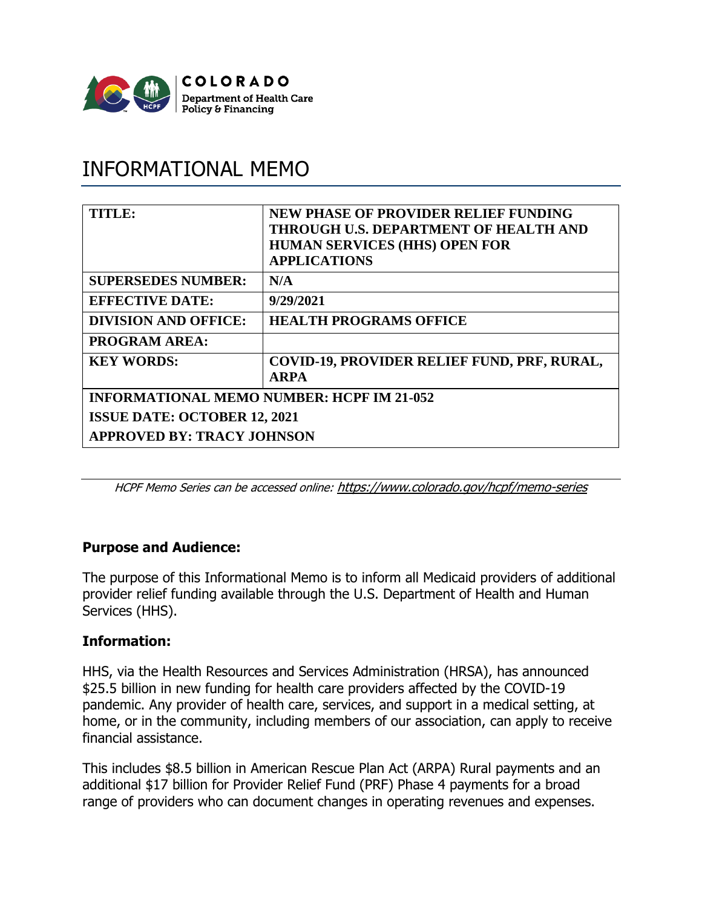

# INFORMATIONAL MEMO

| TITLE:                                           | <b>NEW PHASE OF PROVIDER RELIEF FUNDING</b><br>THROUGH U.S. DEPARTMENT OF HEALTH AND<br><b>HUMAN SERVICES (HHS) OPEN FOR</b><br><b>APPLICATIONS</b> |
|--------------------------------------------------|-----------------------------------------------------------------------------------------------------------------------------------------------------|
| <b>SUPERSEDES NUMBER:</b>                        | N/A                                                                                                                                                 |
| <b>EFFECTIVE DATE:</b>                           | 9/29/2021                                                                                                                                           |
| <b>DIVISION AND OFFICE:</b>                      | <b>HEALTH PROGRAMS OFFICE</b>                                                                                                                       |
| <b>PROGRAM AREA:</b>                             |                                                                                                                                                     |
| <b>KEY WORDS:</b>                                | COVID-19, PROVIDER RELIEF FUND, PRF, RURAL,<br><b>ARPA</b>                                                                                          |
| <b>INFORMATIONAL MEMO NUMBER: HCPF IM 21-052</b> |                                                                                                                                                     |
| <b>ISSUE DATE: OCTOBER 12, 2021</b>              |                                                                                                                                                     |
| <b>APPROVED BY: TRACY JOHNSON</b>                |                                                                                                                                                     |

HCPF Memo Series can be accessed online: <https://www.colorado.gov/hcpf/memo-series>

## **Purpose and Audience:**

The purpose of this Informational Memo is to inform all Medicaid providers of additional provider relief funding available through the U.S. Department of Health and Human Services (HHS).

#### **Information:**

HHS, via the Health Resources and Services Administration (HRSA), has announced \$25.5 billion in new funding for health care providers affected by the COVID-19 pandemic. Any provider of health care, services, and support in a medical setting, at home, or in the community, including members of our association, can apply to receive financial assistance.

This includes \$8.5 billion in American Rescue Plan Act (ARPA) Rural payments and an additional \$17 billion for Provider Relief Fund (PRF) Phase 4 payments for a broad range of providers who can document changes in operating revenues and expenses.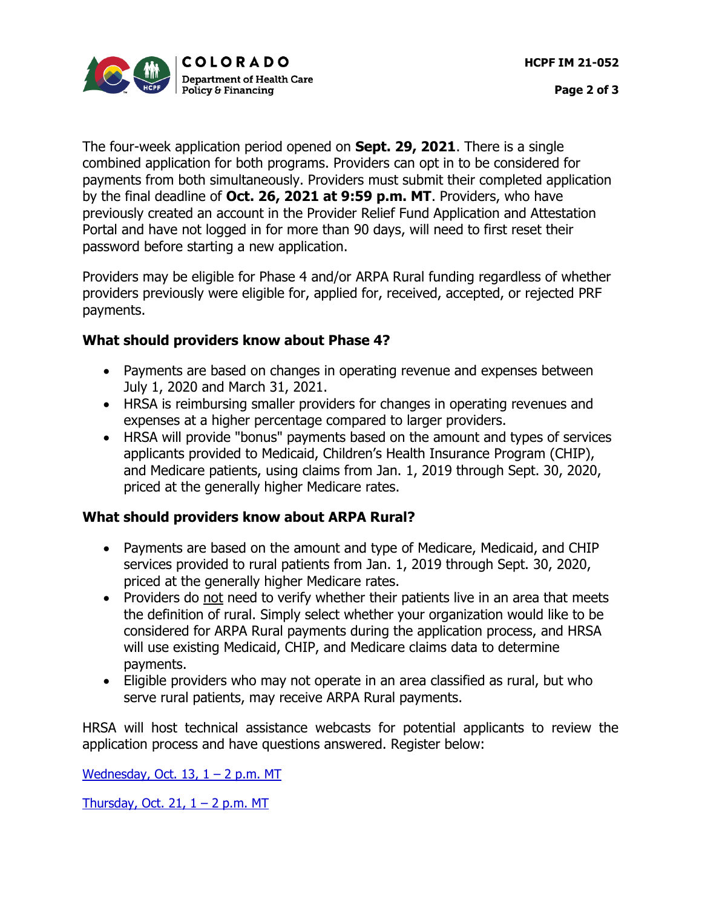

The four-week application period opened on **Sept. 29, 2021**. There is a single combined application for both programs. Providers can opt in to be considered for payments from both simultaneously. Providers must submit their completed application by the final deadline of **Oct. 26, 2021 at 9:59 p.m. MT**. Providers, who have previously created an account in the Provider Relief Fund Application and Attestation Portal and have not logged in for more than 90 days, will need to first reset their password before starting a new application.

Providers may be eligible for Phase 4 and/or ARPA Rural funding regardless of whether providers previously were eligible for, applied for, received, accepted, or rejected PRF payments.

## **What should providers know about Phase 4?**

- Payments are based on changes in operating revenue and expenses between July 1, 2020 and March 31, 2021.
- HRSA is reimbursing smaller providers for changes in operating revenues and expenses at a higher percentage compared to larger providers.
- HRSA will provide "bonus" payments based on the amount and types of services applicants provided to Medicaid, Children's Health Insurance Program (CHIP), and Medicare patients, using claims from Jan. 1, 2019 through Sept. 30, 2020, priced at the generally higher Medicare rates.

#### **What should providers know about ARPA Rural?**

- Payments are based on the amount and type of Medicare, Medicaid, and CHIP services provided to rural patients from Jan. 1, 2019 through Sept. 30, 2020, priced at the generally higher Medicare rates.
- Providers do not need to verify whether their patients live in an area that meets the definition of rural. Simply select whether your organization would like to be considered for ARPA Rural payments during the application process, and HRSA will use existing Medicaid, CHIP, and Medicare claims data to determine payments.
- Eligible providers who may not operate in an area classified as rural, but who serve rural patients, may receive ARPA Rural payments.

HRSA will host technical assistance webcasts for potential applicants to review the application process and have questions answered. Register below:

[Wednesday, Oct.](https://webex.webcasts.com/starthere.jsp?ei=1501040&tp_key=9e6da5c62b) 13,  $1 - 2$  p.m. MT

[Thursday, Oct.](https://webex.webcasts.com/starthere.jsp?ei=1501162&tp_key=4282df37c3) 21,  $1 - 2$  p.m. MT